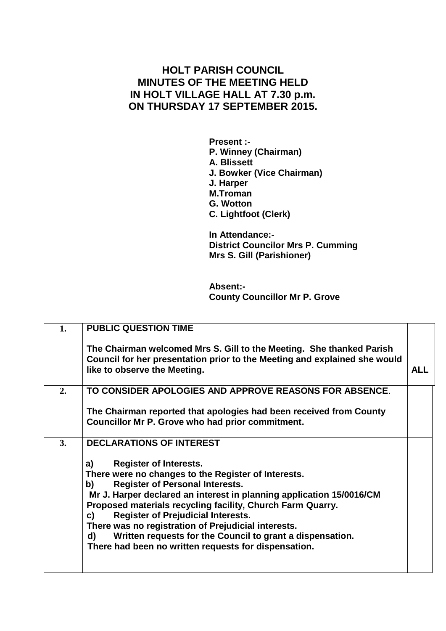## **HOLT PARISH COUNCIL MINUTES OF THE MEETING HELD IN HOLT VILLAGE HALL AT 7.30 p.m. ON THURSDAY 17 SEPTEMBER 2015.**

**Present :- P. Winney (Chairman) A. Blissett J. Bowker (Vice Chairman) J. Harper M.Troman G. Wotton C. Lightfoot (Clerk)**

**In Attendance:- District Councilor Mrs P. Cumming Mrs S. Gill (Parishioner)**

**Absent:- County Councillor Mr P. Grove**

|    | <b>PUBLIC QUESTION TIME</b>                                                                                                                                                                                                                                                                                                                                                                                                                                                                                           |            |
|----|-----------------------------------------------------------------------------------------------------------------------------------------------------------------------------------------------------------------------------------------------------------------------------------------------------------------------------------------------------------------------------------------------------------------------------------------------------------------------------------------------------------------------|------------|
|    | The Chairman welcomed Mrs S. Gill to the Meeting. She thanked Parish<br>Council for her presentation prior to the Meeting and explained she would<br>like to observe the Meeting.                                                                                                                                                                                                                                                                                                                                     | <b>ALL</b> |
| 2. | TO CONSIDER APOLOGIES AND APPROVE REASONS FOR ABSENCE.                                                                                                                                                                                                                                                                                                                                                                                                                                                                |            |
|    | The Chairman reported that apologies had been received from County<br>Councillor Mr P. Grove who had prior commitment.                                                                                                                                                                                                                                                                                                                                                                                                |            |
| 3. | <b>DECLARATIONS OF INTEREST</b>                                                                                                                                                                                                                                                                                                                                                                                                                                                                                       |            |
|    | <b>Register of Interests.</b><br>a)<br>There were no changes to the Register of Interests.<br><b>Register of Personal Interests.</b><br>b)<br>Mr J. Harper declared an interest in planning application 15/0016/CM<br>Proposed materials recycling facility, Church Farm Quarry.<br><b>Register of Prejudicial Interests.</b><br>C)<br>There was no registration of Prejudicial interests.<br>Written requests for the Council to grant a dispensation.<br>d)<br>There had been no written requests for dispensation. |            |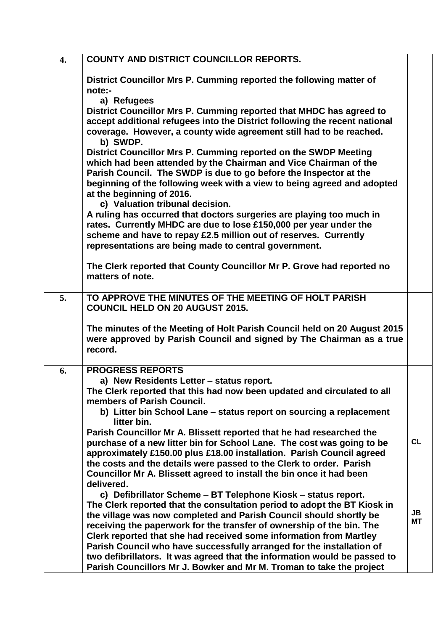| 4. | <b>COUNTY AND DISTRICT COUNCILLOR REPORTS.</b>                                                                                                                                                                                                                                                                                                                                                                                          |                 |
|----|-----------------------------------------------------------------------------------------------------------------------------------------------------------------------------------------------------------------------------------------------------------------------------------------------------------------------------------------------------------------------------------------------------------------------------------------|-----------------|
|    | District Councillor Mrs P. Cumming reported the following matter of<br>note:-<br>a) Refugees                                                                                                                                                                                                                                                                                                                                            |                 |
|    | District Councillor Mrs P. Cumming reported that MHDC has agreed to<br>accept additional refugees into the District following the recent national<br>coverage. However, a county wide agreement still had to be reached.<br>b) SWDP.                                                                                                                                                                                                    |                 |
|    | District Councillor Mrs P. Cumming reported on the SWDP Meeting<br>which had been attended by the Chairman and Vice Chairman of the<br>Parish Council. The SWDP is due to go before the Inspector at the<br>beginning of the following week with a view to being agreed and adopted<br>at the beginning of 2016.                                                                                                                        |                 |
|    | c) Valuation tribunal decision.<br>A ruling has occurred that doctors surgeries are playing too much in<br>rates. Currently MHDC are due to lose £150,000 per year under the<br>scheme and have to repay £2.5 million out of reserves. Currently<br>representations are being made to central government.                                                                                                                               |                 |
|    | The Clerk reported that County Councillor Mr P. Grove had reported no<br>matters of note.                                                                                                                                                                                                                                                                                                                                               |                 |
| 5. | TO APPROVE THE MINUTES OF THE MEETING OF HOLT PARISH<br><b>COUNCIL HELD ON 20 AUGUST 2015.</b>                                                                                                                                                                                                                                                                                                                                          |                 |
|    | The minutes of the Meeting of Holt Parish Council held on 20 August 2015<br>were approved by Parish Council and signed by The Chairman as a true<br>record.                                                                                                                                                                                                                                                                             |                 |
| 6. | <b>PROGRESS REPORTS</b><br>a) New Residents Letter - status report.                                                                                                                                                                                                                                                                                                                                                                     |                 |
|    | The Clerk reported that this had now been updated and circulated to all<br>members of Parish Council.                                                                                                                                                                                                                                                                                                                                   |                 |
|    | b) Litter bin School Lane – status report on sourcing a replacement<br>litter bin.<br>Parish Councillor Mr A. Blissett reported that he had researched the                                                                                                                                                                                                                                                                              |                 |
|    | purchase of a new litter bin for School Lane. The cost was going to be<br>approximately £150.00 plus £18.00 installation. Parish Council agreed<br>the costs and the details were passed to the Clerk to order. Parish<br>Councillor Mr A. Blissett agreed to install the bin once it had been<br>delivered.                                                                                                                            | <b>CL</b>       |
|    | c) Defibrillator Scheme - BT Telephone Kiosk - status report.<br>The Clerk reported that the consultation period to adopt the BT Kiosk in<br>the village was now completed and Parish Council should shortly be<br>receiving the paperwork for the transfer of ownership of the bin. The<br>Clerk reported that she had received some information from Martley<br>Parish Council who have successfully arranged for the installation of | JB<br><b>MT</b> |
|    | two defibrillators. It was agreed that the information would be passed to<br>Parish Councillors Mr J. Bowker and Mr M. Troman to take the project                                                                                                                                                                                                                                                                                       |                 |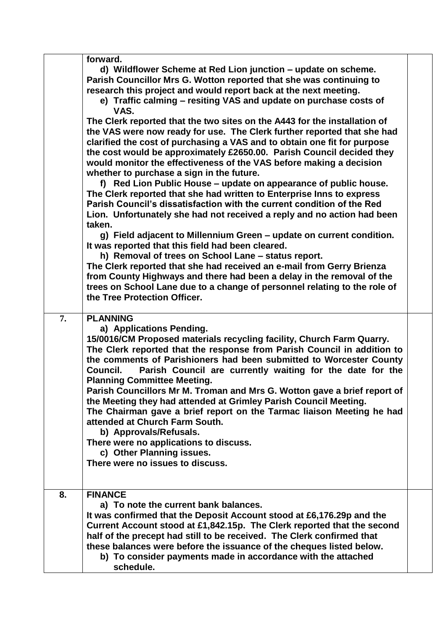|    | forward.<br>d) Wildflower Scheme at Red Lion junction – update on scheme.<br>Parish Councillor Mrs G. Wotton reported that she was continuing to<br>research this project and would report back at the next meeting.<br>e) Traffic calming – resiting VAS and update on purchase costs of<br>VAS.<br>The Clerk reported that the two sites on the A443 for the installation of<br>the VAS were now ready for use. The Clerk further reported that she had<br>clarified the cost of purchasing a VAS and to obtain one fit for purpose<br>the cost would be approximately £2650.00. Parish Council decided they<br>would monitor the effectiveness of the VAS before making a decision<br>whether to purchase a sign in the future.<br>f) Red Lion Public House - update on appearance of public house.<br>The Clerk reported that she had written to Enterprise Inns to express<br>Parish Council's dissatisfaction with the current condition of the Red<br>Lion. Unfortunately she had not received a reply and no action had been<br>taken.<br>g) Field adjacent to Millennium Green – update on current condition.<br>It was reported that this field had been cleared.<br>h) Removal of trees on School Lane - status report.<br>The Clerk reported that she had received an e-mail from Gerry Brienza<br>from County Highways and there had been a delay in the removal of the<br>trees on School Lane due to a change of personnel relating to the role of<br>the Tree Protection Officer. |  |
|----|---------------------------------------------------------------------------------------------------------------------------------------------------------------------------------------------------------------------------------------------------------------------------------------------------------------------------------------------------------------------------------------------------------------------------------------------------------------------------------------------------------------------------------------------------------------------------------------------------------------------------------------------------------------------------------------------------------------------------------------------------------------------------------------------------------------------------------------------------------------------------------------------------------------------------------------------------------------------------------------------------------------------------------------------------------------------------------------------------------------------------------------------------------------------------------------------------------------------------------------------------------------------------------------------------------------------------------------------------------------------------------------------------------------------------------------------------------------------------------------------------|--|
| 7. | <b>PLANNING</b><br>a) Applications Pending.<br>15/0016/CM Proposed materials recycling facility, Church Farm Quarry.<br>The Clerk reported that the response from Parish Council in addition to<br>the comments of Parishioners had been submitted to Worcester County<br>Parish Council are currently waiting for the date for the<br>Council.<br><b>Planning Committee Meeting.</b><br>Parish Councillors Mr M. Troman and Mrs G. Wotton gave a brief report of<br>the Meeting they had attended at Grimley Parish Council Meeting.<br>The Chairman gave a brief report on the Tarmac liaison Meeting he had<br>attended at Church Farm South.<br>b) Approvals/Refusals.<br>There were no applications to discuss.<br>c) Other Planning issues.<br>There were no issues to discuss.                                                                                                                                                                                                                                                                                                                                                                                                                                                                                                                                                                                                                                                                                                             |  |
| 8. | <b>FINANCE</b><br>a) To note the current bank balances.<br>It was confirmed that the Deposit Account stood at £6,176.29p and the<br>Current Account stood at £1,842.15p. The Clerk reported that the second<br>half of the precept had still to be received. The Clerk confirmed that<br>these balances were before the issuance of the cheques listed below.<br>b) To consider payments made in accordance with the attached<br>schedule.                                                                                                                                                                                                                                                                                                                                                                                                                                                                                                                                                                                                                                                                                                                                                                                                                                                                                                                                                                                                                                                        |  |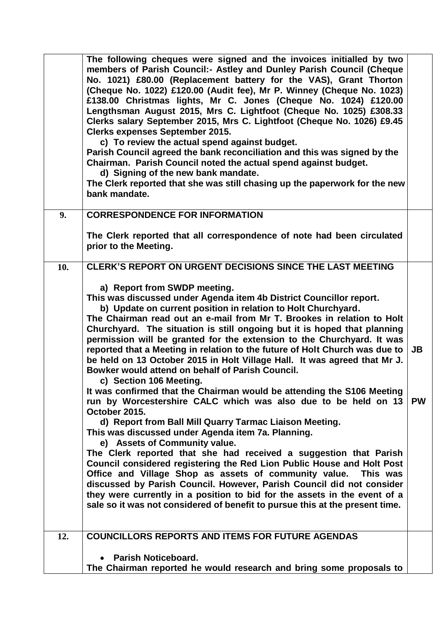|     | The following cheques were signed and the invoices initialled by two<br>members of Parish Council: Astley and Dunley Parish Council (Cheque<br>No. 1021) £80.00 (Replacement battery for the VAS), Grant Thorton<br>(Cheque No. 1022) £120.00 (Audit fee), Mr P. Winney (Cheque No. 1023)<br>£138.00 Christmas lights, Mr C. Jones (Cheque No. 1024) £120.00<br>Lengthsman August 2015, Mrs C. Lightfoot (Cheque No. 1025) £308.33<br>Clerks salary September 2015, Mrs C. Lightfoot (Cheque No. 1026) £9.45<br><b>Clerks expenses September 2015.</b><br>c) To review the actual spend against budget.<br>Parish Council agreed the bank reconciliation and this was signed by the<br>Chairman. Parish Council noted the actual spend against budget.<br>d) Signing of the new bank mandate.<br>The Clerk reported that she was still chasing up the paperwork for the new<br>bank mandate.                                                                                                                                                                                                                                                                                                                                                                                                                                                                                                                          |                        |
|-----|-----------------------------------------------------------------------------------------------------------------------------------------------------------------------------------------------------------------------------------------------------------------------------------------------------------------------------------------------------------------------------------------------------------------------------------------------------------------------------------------------------------------------------------------------------------------------------------------------------------------------------------------------------------------------------------------------------------------------------------------------------------------------------------------------------------------------------------------------------------------------------------------------------------------------------------------------------------------------------------------------------------------------------------------------------------------------------------------------------------------------------------------------------------------------------------------------------------------------------------------------------------------------------------------------------------------------------------------------------------------------------------------------------------------------|------------------------|
| 9.  | <b>CORRESPONDENCE FOR INFORMATION</b>                                                                                                                                                                                                                                                                                                                                                                                                                                                                                                                                                                                                                                                                                                                                                                                                                                                                                                                                                                                                                                                                                                                                                                                                                                                                                                                                                                                 |                        |
|     | The Clerk reported that all correspondence of note had been circulated<br>prior to the Meeting.                                                                                                                                                                                                                                                                                                                                                                                                                                                                                                                                                                                                                                                                                                                                                                                                                                                                                                                                                                                                                                                                                                                                                                                                                                                                                                                       |                        |
| 10. | <b>CLERK'S REPORT ON URGENT DECISIONS SINCE THE LAST MEETING</b>                                                                                                                                                                                                                                                                                                                                                                                                                                                                                                                                                                                                                                                                                                                                                                                                                                                                                                                                                                                                                                                                                                                                                                                                                                                                                                                                                      |                        |
|     | a) Report from SWDP meeting.<br>This was discussed under Agenda item 4b District Councillor report.<br>b) Update on current position in relation to Holt Churchyard.<br>The Chairman read out an e-mail from Mr T. Brookes in relation to Holt<br>Churchyard. The situation is still ongoing but it is hoped that planning<br>permission will be granted for the extension to the Churchyard. It was<br>reported that a Meeting in relation to the future of Holt Church was due to<br>be held on 13 October 2015 in Holt Village Hall. It was agreed that Mr J.<br>Bowker would attend on behalf of Parish Council.<br>c) Section 106 Meeting.<br>It was confirmed that the Chairman would be attending the S106 Meeting<br>run by Worcestershire CALC which was also due to be held on 13<br>October 2015.<br>d) Report from Ball Mill Quarry Tarmac Liaison Meeting.<br>This was discussed under Agenda item 7a. Planning.<br>e) Assets of Community value.<br>The Clerk reported that she had received a suggestion that Parish<br>Council considered registering the Red Lion Public House and Holt Post<br>Office and Village Shop as assets of community value. This was<br>discussed by Parish Council. However, Parish Council did not consider<br>they were currently in a position to bid for the assets in the event of a<br>sale so it was not considered of benefit to pursue this at the present time. | <b>JB</b><br><b>PW</b> |
| 12. | <b>COUNCILLORS REPORTS AND ITEMS FOR FUTURE AGENDAS</b>                                                                                                                                                                                                                                                                                                                                                                                                                                                                                                                                                                                                                                                                                                                                                                                                                                                                                                                                                                                                                                                                                                                                                                                                                                                                                                                                                               |                        |
|     | <b>Parish Noticeboard.</b><br>The Chairman reported he would research and bring some proposals to                                                                                                                                                                                                                                                                                                                                                                                                                                                                                                                                                                                                                                                                                                                                                                                                                                                                                                                                                                                                                                                                                                                                                                                                                                                                                                                     |                        |